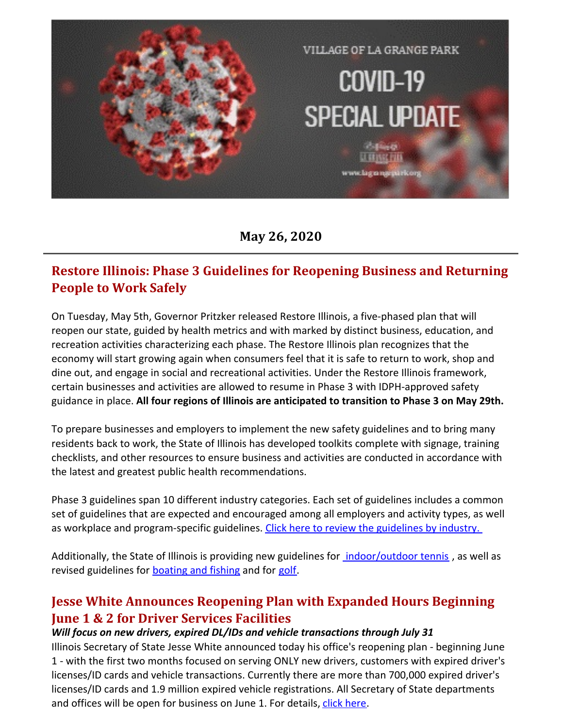

**May 26, 2020**

# **Restore Illinois: Phase 3 Guidelines for Reopening Business and Returning People to Work Safely**

On Tuesday, May 5th, Governor Pritzker released Restore Illinois, a five-phased plan that will reopen our state, guided by health metrics and with marked by distinct business, education, and recreation activities characterizing each phase. The Restore Illinois plan recognizes that the economy will start growing again when consumers feel that it is safe to return to work, shop and dine out, and engage in social and recreational activities. Under the Restore Illinois framework, certain businesses and activities are allowed to resume in Phase 3 with IDPH-approved safety guidance in place. **All four regions of Illinois are anticipated to transition to Phase 3 on May 29th.**

To prepare businesses and employers to implement the new safety guidelines and to bring many residents back to work, the State of Illinois has developed toolkits complete with signage, training checklists, and other resources to ensure business and activities are conducted in accordance with the latest and greatest public health recommendations.

Phase 3 guidelines span 10 different industry categories. Each set of guidelines includes a common set of guidelines that are expected and encouraged among all employers and activity types, as well as workplace and program-specific [guidelines](https://www2.illinois.gov/dceo/pages/restoreILP3.aspx). Click here to review the guidelines by industry.

Additionally, the State of Illinois is providing new guidelines for *[indoor/outdoor](https://www2.illinois.gov/dceo/RestoreIL_DOCS/J011328 DCEO Restore IL - Guidelines - Tennis - r2.pdf) tennis*, as well as revised guidelines for **[boating](https://www2.illinois.gov/dceo/RestoreIL_DOCS/J011328 DCEO Restore IL - Guidelines - Boating-fishing - r2.pdf) and fishing** and for [golf.](https://www2.illinois.gov/dceo/RestoreIL_DOCS/J011328 DCEO Restore IL - Guidelines - Golf restrictions - r2.pdf)

## **Jesse White Announces Reopening Plan with Expanded Hours Beginning June 1 & 2 for Driver Services Facilities**

#### *Will focus on new drivers, expired DL/IDs and vehicle transactions through July 31*

Illinois Secretary of State Jesse White announced today his office's reopening plan - beginning June 1 - with the first two months focused on serving ONLY new drivers, customers with expired driver's licenses/ID cards and vehicle transactions. Currently there are more than 700,000 expired driver's licenses/ID cards and 1.9 million expired vehicle registrations. All Secretary of State departments and offices will be open for business on June 1. For details, [click](https://cyberdriveillinois.com/news/2020/may/200526d1.pdf) here.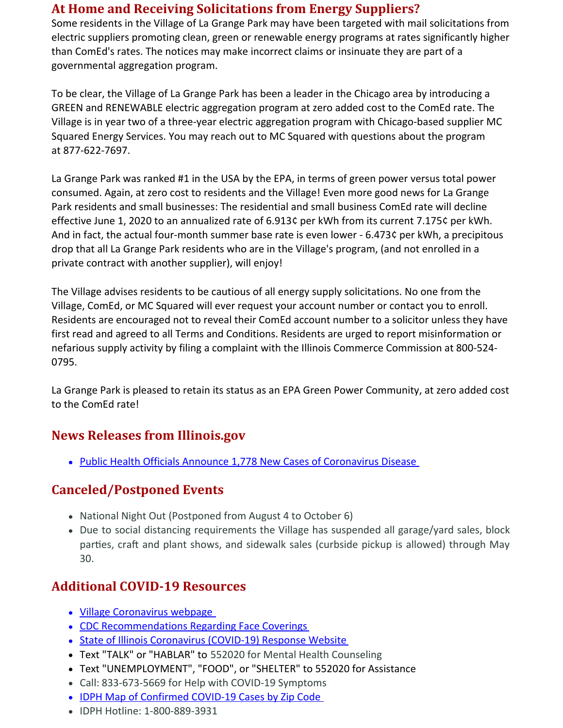### **At Home and Receiving Solicitations from Energy Suppliers?**

Some residents in the Village of La Grange Park may have been targeted with mail solicitations from electric suppliers promoting clean, green or renewable energy programs at rates significantly higher than ComEd's rates. The notices may make incorrect claims or insinuate they are part of a governmental aggregation program.

To be clear, the Village of La Grange Park has been a leader in the Chicago area by introducing a GREEN and RENEWABLE electric aggregation program at zero added cost to the ComEd rate. The Village is in year two of a three-year electric aggregation program with Chicago-based supplier MC Squared Energy Services. You may reach out to MC Squared with questions about the program at 877-622-7697.

La Grange Park was ranked #1 in the USA by the EPA, in terms of green power versus total power consumed. Again, at zero cost to residents and the Village! Even more good news for La Grange Park residents and small businesses: The residential and small business ComEd rate will decline effective June 1, 2020 to an annualized rate of 6.913¢ per kWh from its current 7.175¢ per kWh. And in fact, the actual four-month summer base rate is even lower - 6.473¢ per kWh, a precipitous drop that all La Grange Park residents who are in the Village's program, (and not enrolled in a private contract with another supplier), will enjoy!

The Village advises residents to be cautious of all energy supply solicitations. No one from the Village, ComEd, or MC Squared will ever request your account number or contact you to enroll. Residents are encouraged not to reveal their ComEd account number to a solicitor unless they have first read and agreed to all Terms and Conditions. Residents are urged to report misinformation or nefarious supply activity by filing a complaint with the Illinois Commerce Commission at 800-524- 0795.

La Grange Park is pleased to retain its status as an EPA Green Power Community, at zero added cost to the ComEd rate!

### **News Releases from Illinois.gov**

• Public Health Officials Announce 1,778 New Cases of [Coronavirus](https://www2.illinois.gov/Pages/news-item.aspx?ReleaseID=21589) Disease

### **Canceled/Postponed Events**

- National Night Out (Postponed from August 4 to October 6)
- Due to social distancing requirements the Village has suspended all garage/yard sales, block parties, craft and plant shows, and sidewalk sales (curbside pickup is allowed) through May 30.

### **Additional COVID-19 Resources**

- Village [Coronavirus](http://www.lagrangepark.org/505/Coronavirus-COVID-19) webpage
- CDC [Recommendations](https://www.cdc.gov/coronavirus/2019-ncov/prevent-getting-sick/cloth-face-cover.html) Regarding Face Coverings
- State of Illinois [Coronavirus](https://www2.illinois.gov/sites/coronavirus/Pages/default.aspx) (COVID-19) Response Website
- Text "TALK" or "HABLAR" to 552020 for Mental Health Counseling
- Text "UNEMPLOYMENT", "FOOD", or "SHELTER" to 552020 for Assistance
- Call: 833-673-5669 for Help with COVID-19 Symptoms
- IDPH Map of [Confirmed](https://www.dph.illinois.gov/covid19/covid19-statistics) COVID-19 Cases by Zip Code
- IDPH Hotline: 1-800-889-3931